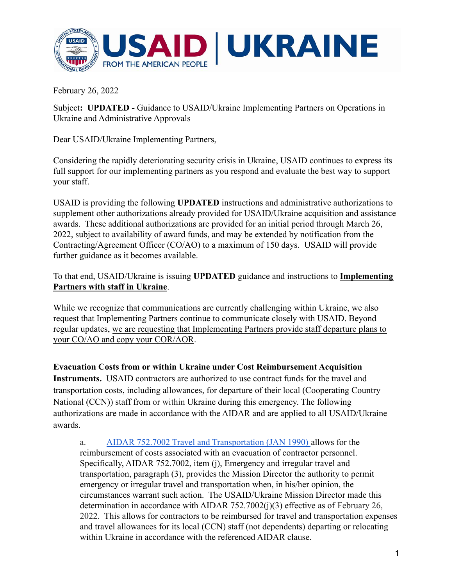

February 26, 2022

Subject**: UPDATED -** Guidance to USAID/Ukraine Implementing Partners on Operations in Ukraine and Administrative Approvals

Dear USAID/Ukraine Implementing Partners,

Considering the rapidly deteriorating security crisis in Ukraine, USAID continues to express its full support for our implementing partners as you respond and evaluate the best way to support your staff.

USAID is providing the following **UPDATED** instructions and administrative authorizations to supplement other authorizations already provided for USAID/Ukraine acquisition and assistance awards. These additional authorizations are provided for an initial period through March 26, 2022, subject to availability of award funds, and may be extended by notification from the Contracting/Agreement Officer (CO/AO) to a maximum of 150 days. USAID will provide further guidance as it becomes available.

To that end, USAID/Ukraine is issuing **UPDATED** guidance and instructions to **Implementing Partners with staff in Ukraine**.

While we recognize that communications are currently challenging within Ukraine, we also request that Implementing Partners continue to communicate closely with USAID. Beyond regular updates, we are requesting that Implementing Partners provide staff departure plans to your CO/AO and copy your COR/AOR.

**Evacuation Costs from or within Ukraine under Cost Reimbursement Acquisition Instruments.** USAID contractors are authorized to use contract funds for the travel and transportation costs, including allowances, for departure of their local (Cooperating Country National (CCN)) staff from or within Ukraine during this emergency. The following authorizations are made in accordance with the AIDAR and are applied to all USAID/Ukraine awards.

a. [AIDAR 752.7002 Travel and Transportation \(JAN 1990\)](https://www.usaid.gov/sites/default/files/documents/aidar.pdf) allows for the reimbursement of costs associated with an evacuation of contractor personnel. Specifically, AIDAR 752.7002, item (j), Emergency and irregular travel and transportation, paragraph (3), provides the Mission Director the authority to permit emergency or irregular travel and transportation when, in his/her opinion, the circumstances warrant such action. The USAID/Ukraine Mission Director made this determination in accordance with AIDAR 752.7002(j)(3) effective as of February 26, 2022. This allows for contractors to be reimbursed for travel and transportation expenses and travel allowances for its local (CCN) staff (not dependents) departing or relocating within Ukraine in accordance with the referenced AIDAR clause.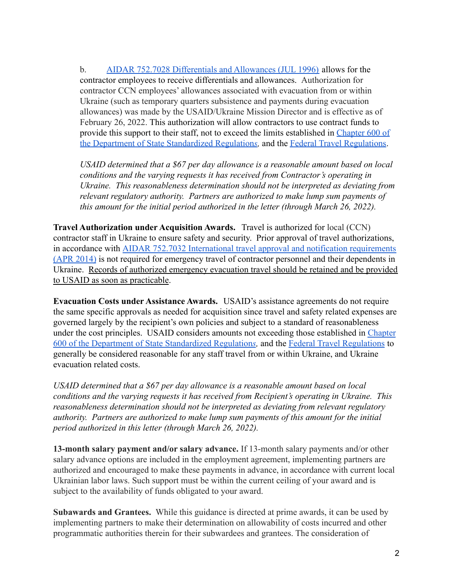b. [AIDAR 752.7028 Differentials and Allowances \(JUL 1996\)](https://www.usaid.gov/sites/default/files/documents/aidar.pdf) allows for the contractor employees to receive differentials and allowances. Authorization for contractor CCN employees' allowances associated with evacuation from or within Ukraine (such as temporary quarters subsistence and payments during evacuation allowances) was made by the USAID/Ukraine Mission Director and is effective as of February 26, 2022. This authorization will allow contractors to use contract funds to provide this support to their staff, not to exceed the limits established in [Chapter 600 of](https://aoprals.state.gov/content.asp?content_id=282&menu_id=75) [the Department of State Standardized Regulation](https://aoprals.state.gov/content.asp?content_id=282&menu_id=75)*s,* and the [Federal Travel Regulations](https://www.gsa.gov/policy-regulations/regulations/federal-travel-regulation-ftr).

*USAID determined that a \$67 per day allowance is a reasonable amount based on local conditions and the varying requests it has received from Contractor's operating in Ukraine. This reasonableness determination should not be interpreted as deviating from relevant regulatory authority. Partners are authorized to make lump sum payments of this amount for the initial period authorized in the letter (through March 26, 2022).*

**Travel Authorization under Acquisition Awards.** Travel is authorized for local (CCN) contractor staff in Ukraine to ensure safety and security. Prior approval of travel authorizations, in accordance with AIDAR 752.7032 International travel [approval and notification requirements](https://www.usaid.gov/sites/default/files/documents/aidar.pdf) [\(APR 2014\)](https://www.usaid.gov/sites/default/files/documents/aidar.pdf) is not required for emergency travel of contractor personnel and their dependents in Ukraine. Records of authorized emergency evacuation travel should be retained and be provided to USAID as soon as practicable.

**Evacuation Costs under Assistance Awards.** USAID's assistance agreements do not require the same specific approvals as needed for acquisition since travel and safety related expenses are governed largely by the recipient's own policies and subject to a standard of reasonableness under the cost principles. USAID considers amounts not exceeding those established in [Chapter](https://aoprals.state.gov/content.asp?content_id=282&menu_id=75) [600 of the Department of State Standardized Regulation](https://aoprals.state.gov/content.asp?content_id=282&menu_id=75)*s,* and the [Federal Travel Regulations](https://www.gsa.gov/policy-regulations/regulations/federal-travel-regulation-ftr) to generally be considered reasonable for any staff travel from or within Ukraine, and Ukraine evacuation related costs.

*USAID determined that a \$67 per day allowance is a reasonable amount based on local conditions and the varying requests it has received from Recipient's operating in Ukraine. This reasonableness determination should not be interpreted as deviating from relevant regulatory authority. Partners are authorized to make lump sum payments of this amount for the initial period authorized in this letter (through March 26, 2022).*

**13-month salary payment and/or salary advance.** If 13-month salary payments and/or other salary advance options are included in the employment agreement, implementing partners are authorized and encouraged to make these payments in advance, in accordance with current local Ukrainian labor laws. Such support must be within the current ceiling of your award and is subject to the availability of funds obligated to your award.

**Subawards and Grantees.** While this guidance is directed at prime awards, it can be used by implementing partners to make their determination on allowability of costs incurred and other programmatic authorities therein for their subwardees and grantees. The consideration of